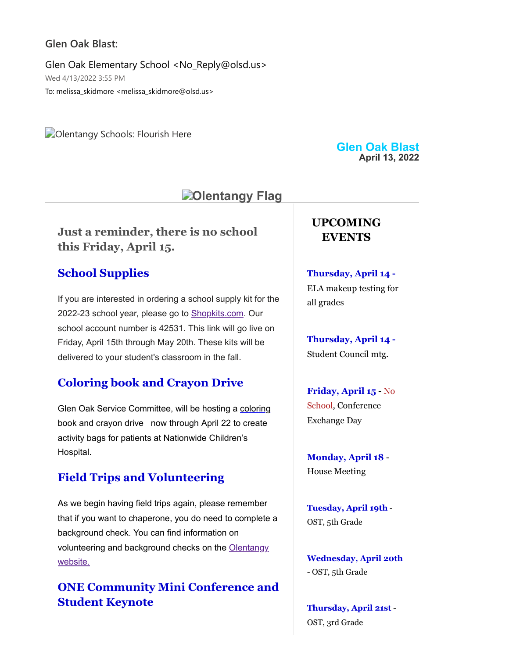#### **Glen Oak Blast:**

Glen Oak Elementary School <No\_Reply@olsd.us> Wed 4/13/2022 3:55 PM To: melissa\_skidmore <melissa\_skidmore@olsd.us>

**Colentangy Schools: Flourish Here** 

# **D**Olentangy Flag

**Just a reminder, there is no school this Friday, April 15.**

## **School Supplies**

If you are interested in ordering a school supply kit for the 2022-23 school year, please go to **[Shopkits.com](https://www.shopttkits.com/).** Our school account number is 42531. This link will go live on Friday, April 15th through May 20th. These kits will be delivered to your student's classroom in the fall.

## **Coloring book and Crayon Drive**

[Glen Oak Service Committee, will be hosting a coloring](https://docs.google.com/presentation/d/1HVEPPJnO6rt3mXCH0Q4Jh1TMRp-brHTrV7fV6VKm2_g/edit?usp=sharing) book and crayon drive now through April 22 to create activity bags for patients at Nationwide Children's Hospital.

## **Field Trips and Volunteering**

As we begin having field trips again, please remember that if you want to chaperone, you do need to complete a background check. You can find information on [volunteering and background checks on the Olentangy](https://www.olentangy.k12.oh.us/parents-resources/volunteer-information) website.

## **ONE Community Mini Conference and Student Keynote**

**Glen Oak Blast April 13, 2022**

## **UPCOMING EVENTS**

**Thursday, April 14 -** ELA makeup testing for all grades

**Thursday, April 14 -** Student Council mtg.

**Friday, April 15** - No School, Conference Exchange Day

**Monday, April 18** - House Meeting

**Tuesday, April 19th** - OST, 5th Grade

**Wednesday, April 20th** - OST, 5th Grade

**Thursday, April 21st** - OST, 3rd Grade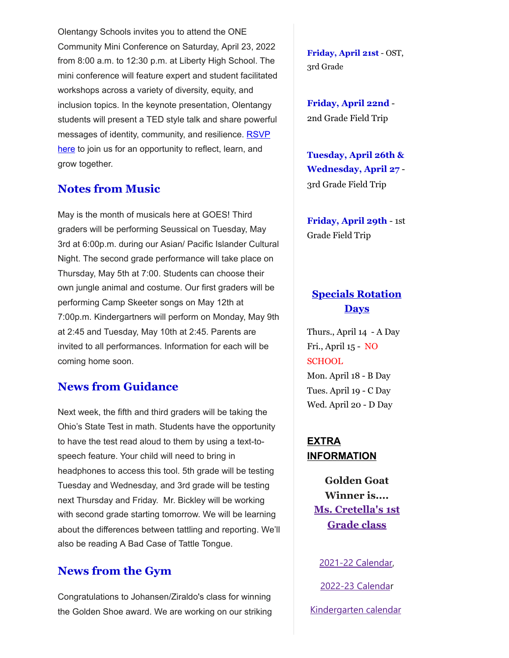Olentangy Schools invites you to attend the ONE Community Mini Conference on Saturday, April 23, 2022 from 8:00 a.m. to 12:30 p.m. at Liberty High School. The mini conference will feature expert and student facilitated workshops across a variety of diversity, equity, and inclusion topics. In the keynote presentation, Olentangy students will present a TED style talk and share powerful [messages of identity, community, and resilience.](http://docs.google.com/forms/d/e/1FAIpQLSf31jCFVZG3pcJPd1DpqABIcvt3tmTdqhHjOXeeRLCLLstLyQ/viewform?usp=sf_link) RSVP here to join us for an opportunity to reflect, learn, and grow together.

## **Notes from Music**

May is the month of musicals here at GOES! Third graders will be performing Seussical on Tuesday, May 3rd at 6:00p.m. during our Asian/ Pacific Islander Cultural Night. The second grade performance will take place on Thursday, May 5th at 7:00. Students can choose their own jungle animal and costume. Our first graders will be performing Camp Skeeter songs on May 12th at 7:00p.m. Kindergartners will perform on Monday, May 9th at 2:45 and Tuesday, May 10th at 2:45. Parents are invited to all performances. Information for each will be coming home soon.

#### **News from Guidance**

Next week, the fifth and third graders will be taking the Ohio's State Test in math. Students have the opportunity to have the test read aloud to them by using a text-tospeech feature. Your child will need to bring in headphones to access this tool. 5th grade will be testing Tuesday and Wednesday, and 3rd grade will be testing next Thursday and Friday. Mr. Bickley will be working with second grade starting tomorrow. We will be learning about the differences between tattling and reporting. We'll also be reading A Bad Case of Tattle Tongue.

## **News from the Gym**

Congratulations to Johansen/Ziraldo's class for winning the Golden Shoe award. We are working on our striking **Friday, April 21st** - OST, 3rd Grade

**Friday, April 22nd** - 2nd Grade Field Trip

**Tuesday, April 26th & Wednesday, April 27** - 3rd Grade Field Trip

**Friday, April 29th** - 1st Grade Field Trip

## **Specials Rotation Days**

Thurs., April 14 - A Day Fri., April 15 - NO **SCHOOL** Mon. April 18 - B Day Tues. April 19 - C Day Wed. April 20 - D Day

**EXTRA INFORMATION**

> **Golden Goat Winner is.... [Ms. Cretella's 1st](https://docs.google.com/document/d/1DGEtQL0Qzd8TUXE4U-YVkNNrv5VgslqtV6LJh_k3c9U/edit?usp=sharing) Grade class**

[2021-22 Calendar](https://resources.finalsite.net/images/v1623338803/olentangyk12ohus/sz9j8nno6oh20v3wyps6/2021-2022DistrictCalendarApproved4-23-20_1updated.pdf),

[2022-23 Calenda](https://resources.finalsite.net/images/v1620050549/olentangyk12ohus/qd6qvmokm7y6lk1e4riu/2022-2023OLSDistrictCalendar.pdf)r

[Kindergarten calendar](https://resources.finalsite.net/images/v1610728354/olentangyk12ohus/suvljtjbbcrvefp8t0eg/Kindergarten2021-2022Calendar-FINAL11321.pdf)